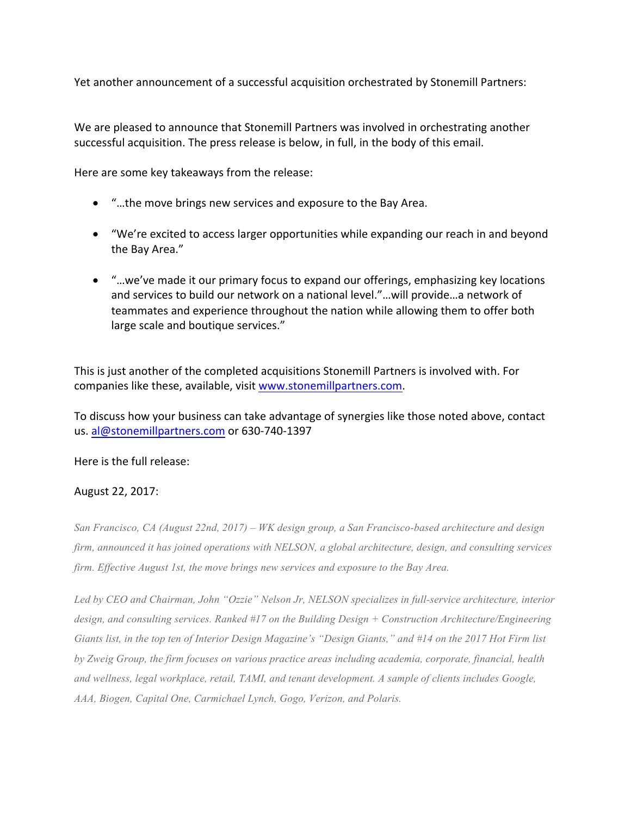Yet another announcement of a successful acquisition orchestrated by Stonemill Partners:

We are pleased to announce that Stonemill Partners was involved in orchestrating another successful acquisition. The press release is below, in full, in the body of this email.

Here are some key takeaways from the release:

- "...the move brings new services and exposure to the Bay Area.
- "We're excited to access larger opportunities while expanding our reach in and beyond the Bay Area."
- "...we've made it our primary focus to expand our offerings, emphasizing key locations and services to build our network on a national level."...will provide...a network of teammates and experience throughout the nation while allowing them to offer both large scale and boutique services."

This is just another of the completed acquisitions Stonemill Partners is involved with. For companies like these, available, visit www.stonemillpartners.com.

To discuss how your business can take advantage of synergies like those noted above, contact us. al@stonemillpartners.com or 630-740-1397

Here is the full release:

## August 22, 2017:

*San Francisco, CA (August 22nd, 2017) – WK design group, a San Francisco-based architecture and design firm, announced it has joined operations with NELSON, a global architecture, design, and consulting services firm. Effective August 1st, the move brings new services and exposure to the Bay Area.*

*Led by CEO and Chairman, John "Ozzie" Nelson Jr, NELSON specializes in full-service architecture, interior design, and consulting services. Ranked #17 on the Building Design + Construction Architecture/Engineering Giants list, in the top ten of Interior Design Magazine's "Design Giants," and #14 on the 2017 Hot Firm list by Zweig Group, the firm focuses on various practice areas including academia, corporate, financial, health and wellness, legal workplace, retail, TAMI, and tenant development. A sample of clients includes Google, AAA, Biogen, Capital One, Carmichael Lynch, Gogo, Verizon, and Polaris.*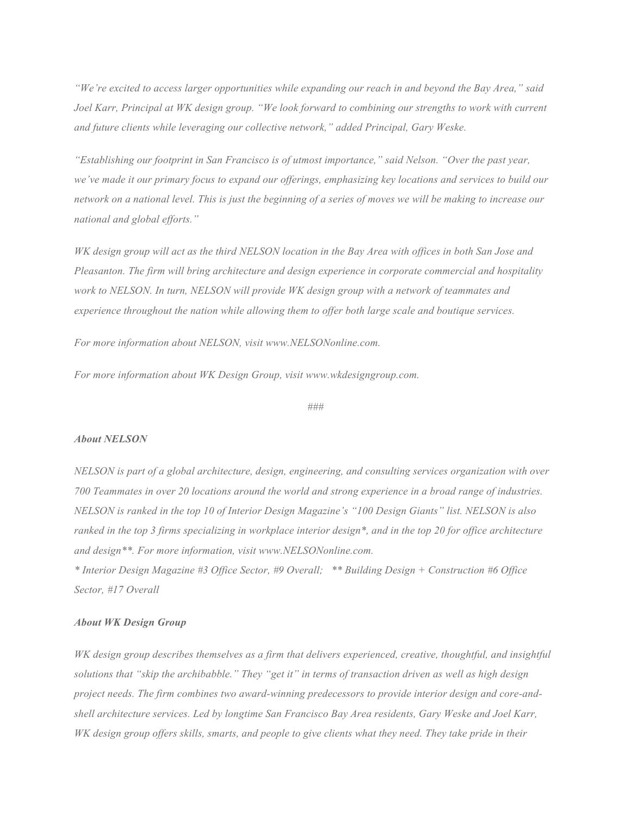*"We're excited to access larger opportunities while expanding our reach in and beyond the Bay Area," said Joel Karr, Principal at WK design group. "We look forward to combining our strengths to work with current and future clients while leveraging our collective network," added Principal, Gary Weske.*

*"Establishing our footprint in San Francisco is of utmost importance," said Nelson. "Over the past year, we've made it our primary focus to expand our offerings, emphasizing key locations and services to build our network on a national level. This is just the beginning of a series of moves we will be making to increase our national and global efforts."*

*WK design group will act as the third NELSON location in the Bay Area with offices in both San Jose and Pleasanton. The firm will bring architecture and design experience in corporate commercial and hospitality work to NELSON. In turn, NELSON will provide WK design group with a network of teammates and experience throughout the nation while allowing them to offer both large scale and boutique services.*

*For more information about NELSON, visit www.NELSONonline.com.*

*For more information about WK Design Group, visit www.wkdesigngroup.com.*

*###*

## *About NELSON*

*NELSON is part of a global architecture, design, engineering, and consulting services organization with over 700 Teammates in over 20 locations around the world and strong experience in a broad range of industries. NELSON is ranked in the top 10 of Interior Design Magazine's "100 Design Giants" list. NELSON is also ranked in the top 3 firms specializing in workplace interior design\*, and in the top 20 for office architecture and design\*\*. For more information, visit www.NELSONonline.com.*

*\* Interior Design Magazine #3 Office Sector, #9 Overall; \*\* Building Design + Construction #6 Office Sector, #17 Overall*

## *About WK Design Group*

*WK design group describes themselves as a firm that delivers experienced, creative, thoughtful, and insightful solutions that "skip the archibabble." They "get it" in terms of transaction driven as well as high design project needs. The firm combines two award-winning predecessors to provide interior design and core-andshell architecture services. Led by longtime San Francisco Bay Area residents, Gary Weske and Joel Karr, WK design group offers skills, smarts, and people to give clients what they need. They take pride in their*